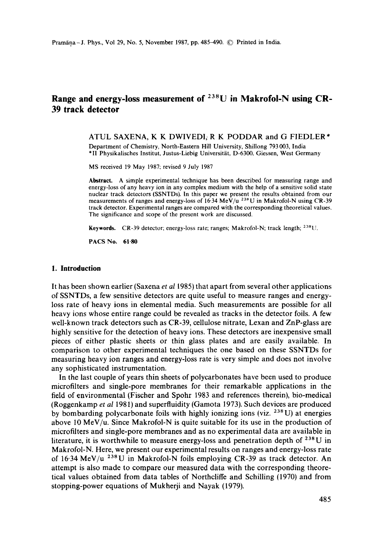# **Range and energy-loss measurement of 238U in Makrofol-N using CR-39 track detector**

#### ATUL SAXENA, K K DWlVEDI, R K PODDAR and G FIEDLER\*

Department of Chemistry, North-Eastern Hill University, Shillong 793 003, India \*II Physikalisches Institut, Justus-Liebig Universität, D-6300. Giessen, West Germany

MS received 19 May 1987: revised 9 July 1987

**Abstract.** A simple experimental technique has been described for measuring range and energy-loss of any heavy ion in any complex medium with the help of a sensitive solid state nuclear track detectors (SSNTDs). In this paper we present the results obtained from our measurements of ranges and energy-loss of 16.34 MeV/u <sup>23\*</sup>U in Makrofol-N using CR-39 track detector. Experimental ranges are compared with the corresponding theoretical values. The significance and scope of the present work are discussed.

**Keywords.** CR-39 detector; energy-loss rate; ranges; Makrofol-N; track length; 238|}.

**PACS No. 61-80** 

#### **1. Introduction**

It has been shown earlier (Saxena *et al* 1985) that apart from several other applications of SSNTDs, a few sensitive detectors are quite useful to measure ranges and energyloss rate of heavy ions in elemental media. Such measurements are possible for all heavy ions whose entire range could be revealed as tracks in the detector foils. A few well-known track detectors such as CR-39, cellulose nitrate, Lexan and ZnP-glass are highly sensitive for the detection of heavy ions. These detectors are inexpensive small pieces of either plastic sheets or thin glass plates and are easily available. In comparison to other experimental techniques the one based on these SSNTDs for measuring heavy ion ranges and energy-loss rate is very simple and does not involve any sophisticated instrumentation.

In the last couple of years thin sheets of polycarbonates have been used to produce microfilters and single-pore membranes for their remarkable applications in the field of environmental (Fischer and Spohr 1983 and references therein), bio-medical (Roggenkamp *et al* 1981) and superfluidity (Gamota 1973). Such devices are produced by bombarding polycarbonate foils with highly ionizing ions (viz.  $238 \text{ U}$ ) at energies above 10 MeV/u. Since Makrofol-N is quite suitable for its use in the production of microfilters and single-pore membranes and as no experimental data are available in literature, it is worthwhile to measure energy-loss and penetration depth of  $238$ U in Makrofol-N. Here, we present our experimental results on ranges and energy-loss rate of 16.34 MeV/u  $238$ U in Makrofol-N foils employing CR-39 as track detector. An attempt is also made to compare our measured data with the corresponding theoretical values obtained from data tables of Northcliffe and Schilling (1970) and from stopping-power equations of Mukherji and Nayak (1979).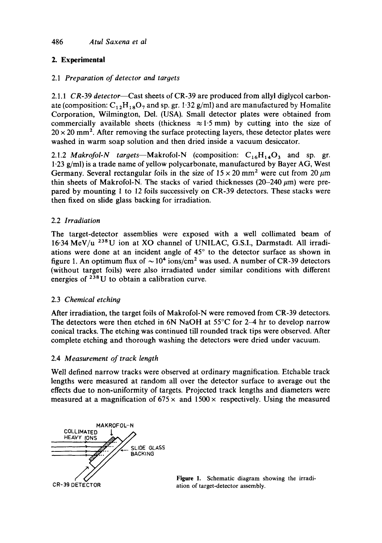# **2. Experimental**

# 2.1 *Preparation of detector and targets*

*2.1.1 CR-39 detector--Cast* sheets of CR-39 are produced from allyl diglycol carbonate (composition:  $C_{12}H_{18}O_7$  and sp. gr. 1.32 g/ml) and are manufactured by Homalite Corporation, Wilmington, Del. (USA). Small detector plates were obtained from commercially available sheets (thickness  $\approx 1.5$  mm) by cutting into the size of  $20 \times 20$  mm<sup>2</sup>. After removing the surface protecting layers, these detector plates were washed in warm soap solution and then dried inside a vacuum desiccator.

2.1.2 *Makrofol-N targets*—Makrofol-N (composition:  $C_{16}H_{14}O_3$  and sp. gr. 1-23 g/ml) is a trade name of yellow polycarbonate, manufactured by Bayer AG, West Germany. Several rectangular foils in the size of  $15 \times 20$  mm<sup>2</sup> were cut from 20  $\mu$ m thin sheets of Makrofol-N. The stacks of varied thicknesses ( $20-240 \mu m$ ) were prepared by mounting 1 to 12 foils successively on CR-39 detectors. These stacks were then fixed on slide glass backing for irradiation.

# 2.2 *Irradiation*

The target-detector assemblies were exposed with a well collimated beam of  $16.34 \text{ MeV}/u$  <sup>238</sup>U ion at XO channel of UNILAC, G.S.I., Darmstadt. All irradiations were done at an incident angle of  $45^\circ$  to the detector surface as shown in figure 1. An optimum flux of  $\sim 10^4$  ions/cm<sup>2</sup> was used. A number of CR-39 detectors (without target foils) were also irradiated under similar conditions with different energies of  $238$ U to obtain a calibration curve.

# 2.3 *Chemical etching*

After irradiation, the target foils of Makrofol-N were removed from CR-39 detectors. The detectors were then etched in 6N NaOH at  $55^{\circ}$ C for 2–4 hr to develop narrow conical tracks. The etching was continued till rounded track tips were observed. After complete etching and thorough washing the detectors were dried under vacuum.

# 2.4 *Measurement of track length*

Well defined narrow tracks were observed at ordinary magnification. Etchable track lengths were measured at random all over the detector surface to average out the effects due to non-uniformity of targets. Projected track lengths and diameters were measured at a magnification of 675  $\times$  and 1500  $\times$  respectively. Using the measured



Figure 1. Schematic diagram showing the irradiation of target-detector assembly.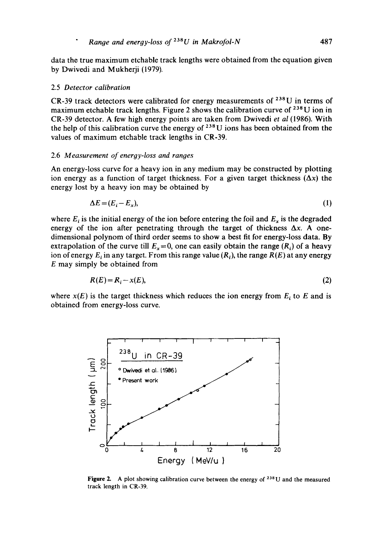data the true maximum etchable track lengths were obtained from the equation given by Dwivedi and Mukherji (1979).

#### 2.5 *Detector calibration*

CR-39 track detectors were calibrated for energy measurements of  $238$ U in terms of maximum etchable track lengths. Figure 2 shows the calibration curve of  $^{238}$ U ion in CR-39 detector. A few high energy points are taken from Dwivedi *et al* (1986). With the help of this calibration curve the energy of  $^{238}$ U ions has been obtained from the values of maximum etchable track lengths in CR-39.

#### 2.6 *Measurement of energy-loss and ranges*

An energy-loss curve for a heavy ion in any medium may be constructed by plotting ion energy as a function of target thickness. For a given target thickness  $(\Delta x)$  the energy lost by a heavy ion may be obtained by

$$
\Delta E = (E_i - E_x),\tag{1}
$$

where  $E_i$  is the initial energy of the ion before entering the foil and  $E_x$  is the degraded energy of the ion after penetrating through the target of thickness  $\Delta x$ . A onedimensional polynom of third order seems to show a best fit for energy-loss data. By extrapolation of the curve till  $E_x = 0$ , one can easily obtain the range  $(R_i)$  of a heavy ion of energy  $E_i$  in any target. From this range value  $(R_i)$ , the range  $R(E)$  at any energy E may simply be obtained from

$$
R(E) = R_i - x(E),\tag{2}
$$

where  $x(E)$  is the target thickness which reduces the ion energy from  $E_i$  to E and is obtained from energy-loss curve.



Figure 2. A plot showing calibration curve between the energy of <sup>238</sup>U and the measured track length in CR-39.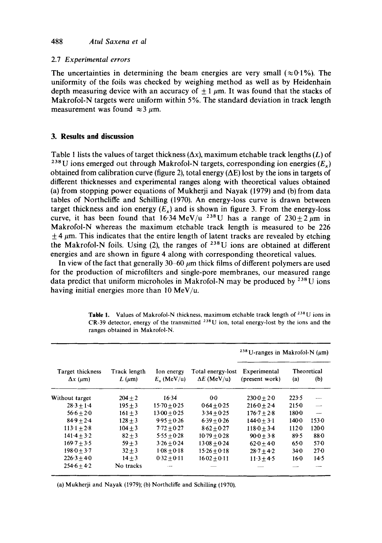## 2.7 *Experimental errors*

The uncertainties in determining the beam energies are very small ( $\approx 0.1\%$ ). The uniformity of the foils was checked by weighing method as well as by Heidenhain depth measuring device with an accuracy of  $\pm 1 \mu m$ . It was found that the stacks of Makrofol-N targets were uniform within 5%. The standard deviation in track length measurement was found  $\approx$  3  $\mu$ m.

## **3. Results and discussion**

Table 1 lists the values of target thickness  $(\Delta x)$ , maximum etchable track lengths  $(L)$  of <sup>238</sup>U ions emerged out through Makrofol-N targets, corresponding ion energies ( $E_x$ ) obtained from calibration curve (figure 2), total energy ( $\Delta E$ ) lost by the ions in targets of different thicknesses and experimental ranges along with theoretical values obtained (a) from stopping power equations of Mukherji and Nayak (1979) and (b) from data tables of Northcliffe and Schilling (1970). An energy-loss curve is drawn between target thickness and ion energy  $(E<sub>x</sub>)$  and is shown in figure 3. From the energy-loss curve, it has been found that 16.34 MeV/u <sup>238</sup>U has a range of  $230 \pm 2 \mu m$  in Makrofol-N whereas the maximum etchable track length is measured to be 226  $\pm$  4  $\mu$ m. This indicates that the entire length of latent tracks are revealed by etching the Makrofol-N foils. Using (2), the ranges of  $^{238}$ U ions are obtained at different energies and are shown in figure 4 along with corresponding theoretical values.

In view of the fact that generally  $30-60 \mu m$  thick films of different polymers are used for the production of microfilters and single-pore membranes, our measured range data predict that uniform microholes in Makrofol-N may be produced by  $^{238}$ U ions having initial energies more than 10 MeV/u.

| Target thickness<br>$\Delta x$ ( $\mu$ m) | Track length<br>$L$ ( $\mu$ m) | Ion energy<br>$E_x$ (MeV/u) | Total energy-lost<br>$\Delta E$ (MeV/u) | <sup>238</sup> U-ranges in Makrofol-N $(\mu m)$ |          |                    |
|-------------------------------------------|--------------------------------|-----------------------------|-----------------------------------------|-------------------------------------------------|----------|--------------------|
|                                           |                                |                             |                                         | Experimental<br>(present work)                  | (a)      | Theoretical<br>(b) |
| Without target                            | $204 + 2$                      | 16.34                       | $0 - 0$                                 | $230-0+20$                                      | 223.5    |                    |
| $28.3 + 1.4$                              | $195 + 3$                      | $15.70 + 0.25$              | $0.64 + 0.25$                           | $216.0 + 2.4$                                   | 2150     |                    |
| $56.6 + 2.0$                              | $161 + 3$                      | $13.00 + 0.25$              | $3.34 + 0.25$                           | $176.7 + 2.8$                                   | 1800     |                    |
| $84.9 + 2.4$                              | $128 + 3$                      | $9.95 + 0.26$               | $6.39 + 0.26$                           | $144.0 + 3.1$                                   | 140.0    | 1530               |
| $113.1 + 2.8$                             | $104 + 3$                      | $7.72 + 0.27$               | $8.62 + 0.27$                           | $118.0 + 3.4$                                   | 1120     | $120 - 0$          |
| $141.4 + 3.2$                             | $82 + 3$                       | $5.55 + 0.28$               | $10-79 + 0.28$                          | $90.0 + 3.8$                                    | 89.5     | 88 <sub>0</sub>    |
| $169.7 + 3.5$                             | $59 + 3$                       | $3.26 + 0.24$               | $13.08 + 0.24$                          | $62.0 + 4.0$                                    | $65-0$   | $57-0$             |
| $198.0 + 3.7$                             | $32 + 3$                       | $108 + 0.18$                | $15.26 + 0.18$                          | $28.7 + 4.2$                                    | $34 - 0$ | $27-0$             |
| $226.3 + 4.0$                             | $14 + 3$                       | $0.32 + 0.11$               | $16-02 + 0.11$                          | $11.3 + 4.5$                                    | $16-0$   | 14.5               |
| $254.6 + 4.2$                             | No tracks                      |                             |                                         |                                                 |          |                    |

Table 1. Values of Makrofol-N thickness, maximum etchable track length of  $^{238}$ U ions in CR-39 detector, energy of the transmitted  $^{238}$ U ion, total energy-lost by the ions and the ranges obtained in Makrofol-N.

(a) Mukherji and Nayak (1979); (b) Northcliffe and Schilling (1970).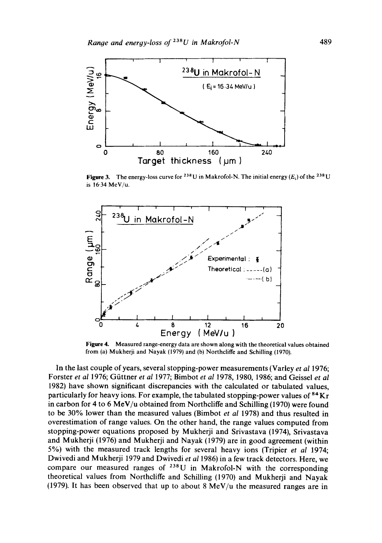

Figure 3. The energy-loss curve for <sup>238</sup> U in Makrofol-N. The initial energy ( $E_i$ ) of the <sup>238</sup> U is 16.34 MeV/u.



**Figure** 4. Measured range-energy data are shown along with the theoretical values obtained from (a) Mukherji and Nayak (1979) and (b) Northcliffe and Schilling (1970).

In the last couple of years, several stopping-power measurements (Varley *et al* 1976; Forster *et al* 1976; Güttner *et al* 1977; Bimbot *et al* 1978, 1980, 1986; and Geissel *et al* 1982) have shown significant discrepancies with the calculated or tabulated values, particularly for heavy ions. For example, the tabulated stopping-power values of  ${}^{84}$ Kr in carbon for 4 to 6 MeV/u obtained from Northcliffe and Schilling (1970) were found to be 30% lower than the measured values (Bimbot *et al 1978)* and thus resulted in overestimation of range values. On the other hand, the range values computed from stopping-power equations proposed by Mukherji and Srivastava (1974), Srivastava and Mukherji (1976) and Mukherji and Nayak (1979) are in good agreement (within 5%) with the measured track lengths for several heavy ions (Tripier *et al* 1974; Dwivedi and Mukherji 1979 and Dwivedi *et al* 1986) in a few track detectors. Here, we compare our measured ranges of  $^{238}$ U in Makrofol-N with the corresponding theoretical values from Northcliffe and Schilling (1970) and Mukherji and Nayak (1979). It has been observed that up to about  $8 \text{ MeV}/u$  the measured ranges are in